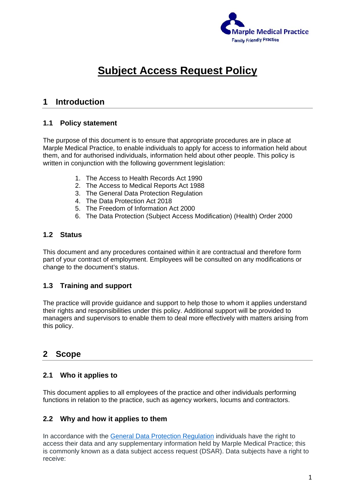

# **Subject Access Request Policy**

# **1 Introduction**

#### **1.1 Policy statement**

The purpose of this document is to ensure that appropriate procedures are in place at Marple Medical Practice, to enable individuals to apply for access to information held about them, and for authorised individuals, information held about other people. This policy is written in conjunction with the following government legislation:

- 1. The Access to Health Records Act 1990
- 2. The Access to Medical Reports Act 1988
- 3. The General Data Protection Regulation
- 4. The Data Protection Act 2018
- 5. The Freedom of Information Act 2000
- 6. The Data Protection (Subject Access Modification) (Health) Order 2000

#### **1.2 Status**

This document and any procedures contained within it are contractual and therefore form part of your contract of employment. Employees will be consulted on any modifications or change to the document's status.

#### **1.3 Training and support**

The practice will provide guidance and support to help those to whom it applies understand their rights and responsibilities under this policy. Additional support will be provided to managers and supervisors to enable them to deal more effectively with matters arising from this policy.

# **2 Scope**

#### **2.1 Who it applies to**

This document applies to all employees of the practice and other individuals performing functions in relation to the practice, such as agency workers, locums and contractors.

#### **2.2 Why and how it applies to them**

In accordance with the General Data Protection Regulation individuals have the right to access their data and any supplementary information held by Marple Medical Practice; this is commonly known as a data subject access request (DSAR). Data subjects have a right to receive: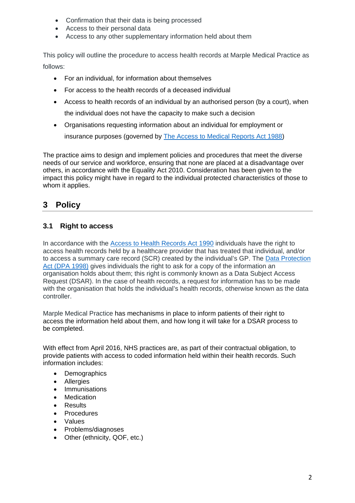- Confirmation that their data is being processed
- Access to their personal data
- Access to any other supplementary information held about them

This policy will outline the procedure to access health records at Marple Medical Practice as follows:

- For an individual, for information about themselves
- For access to the health records of a deceased individual
- Access to health records of an individual by an authorised person (by a court), when the individual does not have the capacity to make such a decision
- Organisations requesting information about an individual for employment or insurance purposes (governed by The Access to Medical Reports Act 1988)

The practice aims to design and implement policies and procedures that meet the diverse needs of our service and workforce, ensuring that none are placed at a disadvantage over others, in accordance with the Equality Act 2010. Consideration has been given to the impact this policy might have in regard to the individual protected characteristics of those to whom it applies.

# **3 Policy**

# **3.1 Right to access**

In accordance with the Access to Health Records Act 1990 individuals have the right to access health records held by a healthcare provider that has treated that individual, and/or to access a summary care record (SCR) created by the individual's GP. The Data Protection Act (DPA 1998) gives individuals the right to ask for a copy of the information an organisation holds about them; this right is commonly known as a Data Subject Access Request (DSAR). In the case of health records, a request for information has to be made with the organisation that holds the individual's health records, otherwise known as the data controller.

Marple Medical Practice has mechanisms in place to inform patients of their right to access the information held about them, and how long it will take for a DSAR process to be completed.

With effect from April 2016, NHS practices are, as part of their contractual obligation, to provide patients with access to coded information held within their health records. Such information includes:

- Demographics
- Allergies
- Immunisations
- Medication
- Results
- Procedures
- Values
- Problems/diagnoses
- Other (ethnicity, QOF, etc.)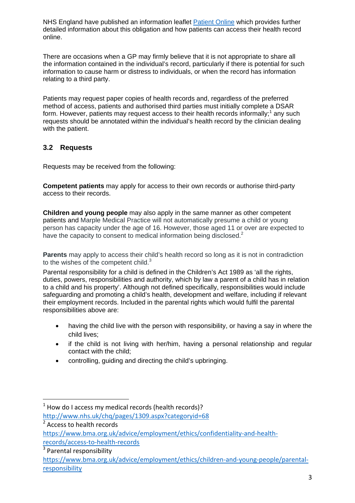NHS England have published an information leaflet Patient Online which provides further detailed information about this obligation and how patients can access their health record online.

There are occasions when a GP may firmly believe that it is not appropriate to share all the information contained in the individual's record, particularly if there is potential for such information to cause harm or distress to individuals, or when the record has information relating to a third party.

Patients may request paper copies of health records and, regardless of the preferred method of access, patients and authorised third parties must initially complete a DSAR form. However, patients may request access to their health records informally;<sup>1</sup> any such requests should be annotated within the individual's health record by the clinician dealing with the patient.

# **3.2 Requests**

Requests may be received from the following:

**Competent patients** may apply for access to their own records or authorise third-party access to their records.

**Children and young people** may also apply in the same manner as other competent patients and Marple Medical Practice will not automatically presume a child or young person has capacity under the age of 16. However, those aged 11 or over are expected to have the capacity to consent to medical information being disclosed.<sup>2</sup>

**Parents** may apply to access their child's health record so long as it is not in contradiction to the wishes of the competent child. $3$ 

Parental responsibility for a child is defined in the Children's Act 1989 as 'all the rights, duties, powers, responsibilities and authority, which by law a parent of a child has in relation to a child and his property'. Although not defined specifically, responsibilities would include safeguarding and promoting a child's health, development and welfare, including if relevant their employment records. Included in the parental rights which would fulfil the parental responsibilities above are:

- having the child live with the person with responsibility, or having a say in where the child lives;
- if the child is not living with her/him, having a personal relationship and regular contact with the child;
- controlling, guiding and directing the child's upbringing.

 $1$  How do I access my medical records (health records)? http://www.nhs.uk/chq/pages/1309.aspx?categoryid=68

 $\sqrt[2]{\text{Access}}$  to health records

https://www.bma.org.uk/advice/employment/ethics/confidentiality-and-healthrecords/access‐to‐health‐records

<sup>&</sup>lt;sup>3</sup> Parental responsibility

https://www.bma.org.uk/advice/employment/ethics/children-and-young-people/parentalresponsibility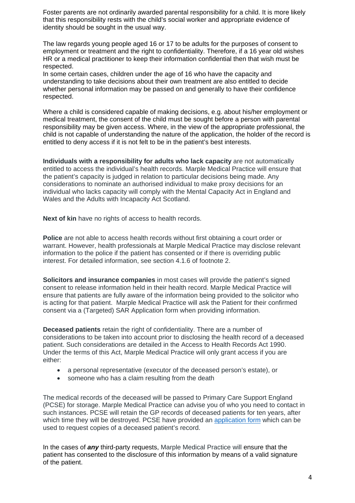Foster parents are not ordinarily awarded parental responsibility for a child. It is more likely that this responsibility rests with the child's social worker and appropriate evidence of identity should be sought in the usual way.

The law regards young people aged 16 or 17 to be adults for the purposes of consent to employment or treatment and the right to confidentiality. Therefore, if a 16 year old wishes HR or a medical practitioner to keep their information confidential then that wish must be respected.

In some certain cases, children under the age of 16 who have the capacity and understanding to take decisions about their own treatment are also entitled to decide whether personal information may be passed on and generally to have their confidence respected.

Where a child is considered capable of making decisions, e.g. about his/her employment or medical treatment, the consent of the child must be sought before a person with parental responsibility may be given access. Where, in the view of the appropriate professional, the child is not capable of understanding the nature of the application, the holder of the record is entitled to deny access if it is not felt to be in the patient's best interests.

**Individuals with a responsibility for adults who lack capacity** are not automatically entitled to access the individual's health records. Marple Medical Practice will ensure that the patient's capacity is judged in relation to particular decisions being made. Any considerations to nominate an authorised individual to make proxy decisions for an individual who lacks capacity will comply with the Mental Capacity Act in England and Wales and the Adults with Incapacity Act Scotland.

**Next of kin** have no rights of access to health records.

**Police** are not able to access health records without first obtaining a court order or warrant. However, health professionals at Marple Medical Practice may disclose relevant information to the police if the patient has consented or if there is overriding public interest. For detailed information, see section 4.1.6 of footnote 2.

**Solicitors and insurance companies** in most cases will provide the patient's signed consent to release information held in their health record. Marple Medical Practice will ensure that patients are fully aware of the information being provided to the solicitor who is acting for that patient. Marple Medical Practice will ask the Patient for their confirmed consent via a (Targeted) SAR Application form when providing information.

**Deceased patients** retain the right of confidentiality. There are a number of considerations to be taken into account prior to disclosing the health record of a deceased patient. Such considerations are detailed in the Access to Health Records Act 1990. Under the terms of this Act, Marple Medical Practice will only grant access if you are either:

- a personal representative (executor of the deceased person's estate), or
- someone who has a claim resulting from the death

The medical records of the deceased will be passed to Primary Care Support England (PCSE) for storage. Marple Medical Practice can advise you of who you need to contact in such instances. PCSE will retain the GP records of deceased patients for ten years, after which time they will be destroyed. PCSE have provided an application form which can be used to request copies of a deceased patient's record.

In the cases of *any* third-party requests, Marple Medical Practice will ensure that the patient has consented to the disclosure of this information by means of a valid signature of the patient.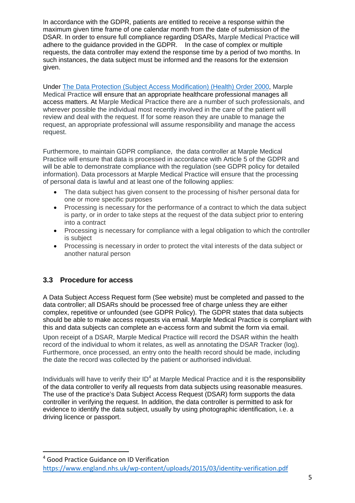In accordance with the GDPR, patients are entitled to receive a response within the maximum given time frame of one calendar month from the date of submission of the DSAR. In order to ensure full compliance regarding DSARs, Marple Medical Practice will adhere to the guidance provided in the GDPR. In the case of complex or multiple requests, the data controller may extend the response time by a period of two months. In such instances, the data subject must be informed and the reasons for the extension given.

Under The Data Protection (Subject Access Modification) (Health) Order 2000, Marple Medical Practice will ensure that an appropriate healthcare professional manages all access matters. At Marple Medical Practice there are a number of such professionals, and wherever possible the individual most recently involved in the care of the patient will review and deal with the request. If for some reason they are unable to manage the request, an appropriate professional will assume responsibility and manage the access request.

Furthermore, to maintain GDPR compliance, the data controller at Marple Medical Practice will ensure that data is processed in accordance with Article 5 of the GDPR and will be able to demonstrate compliance with the regulation (see GDPR policy for detailed information). Data processors at Marple Medical Practice will ensure that the processing of personal data is lawful and at least one of the following applies:

- The data subject has given consent to the processing of his/her personal data for one or more specific purposes
- Processing is necessary for the performance of a contract to which the data subject is party, or in order to take steps at the request of the data subject prior to entering into a contract
- Processing is necessary for compliance with a legal obligation to which the controller is subject
- Processing is necessary in order to protect the vital interests of the data subject or another natural person

# **3.3 Procedure for access**

A Data Subject Access Request form (See website) must be completed and passed to the data controller; all DSARs should be processed free of charge unless they are either complex, repetitive or unfounded (see GDPR Policy). The GDPR states that data subjects should be able to make access requests via email. Marple Medical Practice is compliant with this and data subjects can complete an e-access form and submit the form via email.

Upon receipt of a DSAR, Marple Medical Practice will record the DSAR within the health record of the individual to whom it relates, as well as annotating the DSAR Tracker (log). Furthermore, once processed, an entry onto the health record should be made, including the date the record was collected by the patient or authorised individual.

Individuals will have to verify their  $ID<sup>4</sup>$  at Marple Medical Practice and it is the responsibility of the data controller to verify all requests from data subjects using reasonable measures. The use of the practice's Data Subject Access Request (DSAR) form supports the data controller in verifying the request. In addition, the data controller is permitted to ask for evidence to identify the data subject, usually by using photographic identification, i.e. a driving licence or passport.

<sup>4</sup> Good Practice Guidance on ID Verification https://www.england.nhs.uk/wp‐content/uploads/2015/03/identity‐verification.pdf